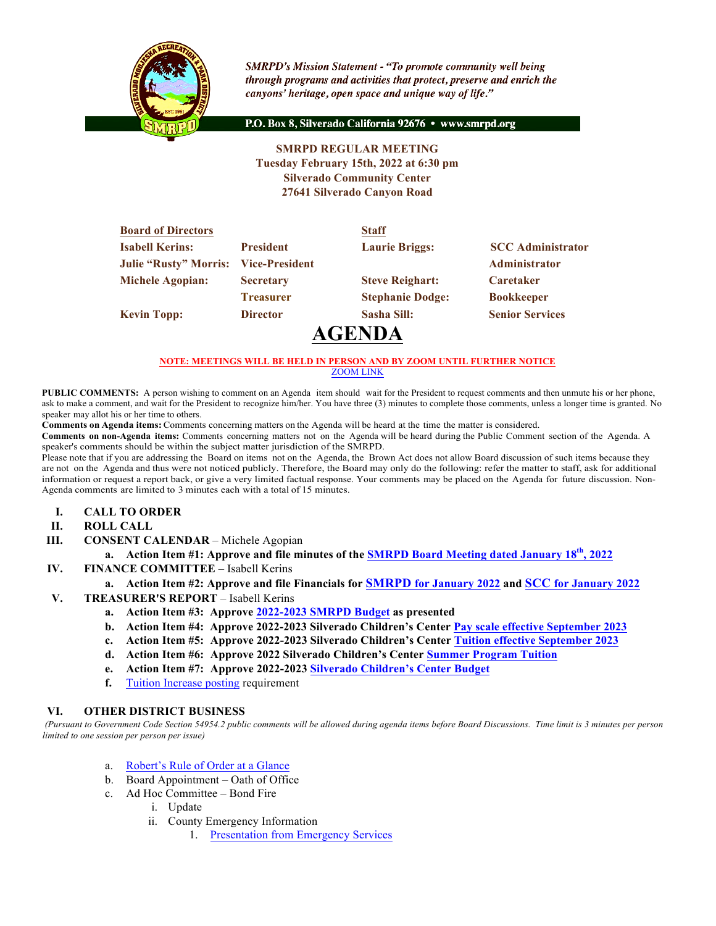

**SMRPD's Mission Statement - "To promote community well being** through programs and activities that protect, preserve and enrich the canyons' heritage, open space and unique way of life."

P.O. Box 8, Silverado California 92676 · www.smrpd.org

## **SMRPD REGULAR MEETING Tuesday February 15th, 2022 at 6:30 pm Silverado Community Center 27641 Silverado Canyon Road**

| <b>Board of Directors</b>                   |                  | <b>Staff</b>            |                          |
|---------------------------------------------|------------------|-------------------------|--------------------------|
| <b>Isabell Kerins:</b>                      | <b>President</b> | <b>Laurie Briggs:</b>   | <b>SCC</b> Administrator |
| <b>Julie "Rusty" Morris: Vice-President</b> |                  |                         | Administrator            |
| <b>Michele Agopian:</b>                     | <b>Secretary</b> | <b>Steve Reighart:</b>  | <b>Caretaker</b>         |
|                                             | <b>Treasurer</b> | <b>Stephanie Dodge:</b> | <b>Bookkeeper</b>        |
| <b>Kevin Topp:</b>                          | <b>Director</b>  | Sasha Sill:             | <b>Senior Services</b>   |
|                                             |                  | $\bigcap_{\alpha}$      |                          |

# **AGENDA**

#### **NOTE: MEETINGS WILL BE HELD IN PERSON AND BY ZOOM UNTIL FURTHER NOTICE** ZOOM LINK

**PUBLIC COMMENTS:** A person wishing to comment on an Agenda item should wait for the President to request comments and then unmute his or her phone, ask to make a comment, and wait for the President to recognize him/her. You have three (3) minutes to complete those comments, unless a longer time is granted. No speaker may allot his or her time to others.

**Comments on Agenda items:** Comments concerning matters on the Agenda will be heard at the time the matter is considered.

**Comments on non-Agenda items:** Comments concerning matters not on the Agenda will be heard during the Public Comment section of the Agenda. A speaker's comments should be within the subject matter jurisdiction of the SMRPD.

Please note that if you are addressing the Board on items not on the Agenda, the Brown Act does not allow Board discussion of such items because they are not on the Agenda and thus were not noticed publicly. Therefore, the Board may only do the following: refer the matter to staff, ask for additional information or request a report back, or give a very limited factual response. Your comments may be placed on the Agenda for future discussion. Non-Agenda comments are limited to 3 minutes each with a total of 15 minutes.

- **I. CALL TO ORDER**
- **II. ROLL CALL**
- **III. CONSENT CALENDAR** Michele Agopian
	- **a. Action Item #1: Approve and file minutes of the SMRPD Board Meeting dated January 18th, 2022**
- **IV. FINANCE COMMITTEE** Isabell Kerins
	- **a. Action Item #2: Approve and file Financials for SMRPD for January 2022 and SCC for January 2022**
- **V. TREASURER'S REPORT** Isabell Kerins
	- **a. Action Item #3: Approve 2022-2023 SMRPD Budget as presented**
	- **b. Action Item #4: Approve 2022-2023 Silverado Children's Center Pay scale effective September 2023**
	- **c. Action Item #5: Approve 2022-2023 Silverado Children's Center Tuition effective September 2023**
	- **d. Action Item #6: Approve 2022 Silverado Children's Center Summer Program Tuition**
	- **e. Action Item #7: Approve 2022-2023 Silverado Children's Center Budget**
	- **f.** Tuition Increase posting requirement

#### **VI. OTHER DISTRICT BUSINESS**

*(Pursuant to Government Code Section 54954.2 public comments will be allowed during agenda items before Board Discussions. Time limit is 3 minutes per person limited to one session per person per issue)*

- a. Robert's Rule of Order at a Glance
- b. Board Appointment Oath of Office
- c. Ad Hoc Committee Bond Fire
	- i. Update
	- ii. County Emergency Information
		- 1. Presentation from Emergency Services